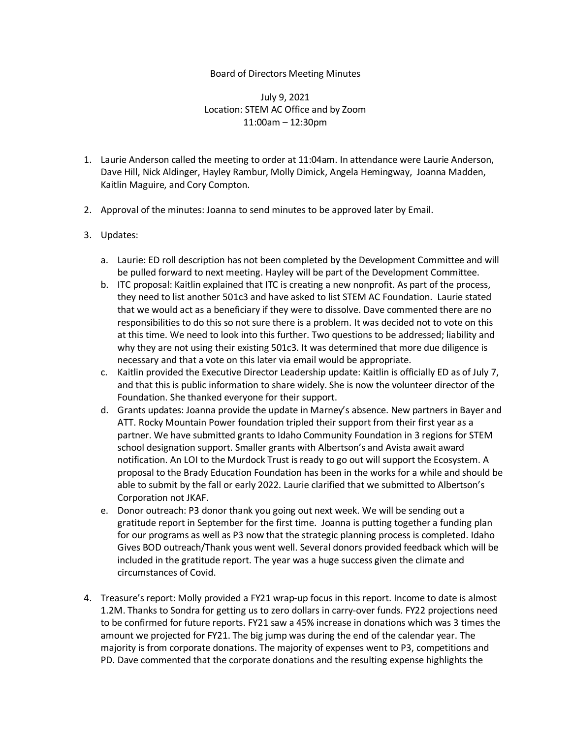#### Board of Directors Meeting Minutes

# July 9, 2021 Location: STEM AC Office and by Zoom 11:00am – 12:30pm

- 1. Laurie Anderson called the meeting to order at 11:04am. In attendance were Laurie Anderson, Dave Hill, Nick Aldinger, Hayley Rambur, Molly Dimick, Angela Hemingway, Joanna Madden, Kaitlin Maguire, and Cory Compton.
- 2. Approval of the minutes: Joanna to send minutes to be approved later by Email.

# 3. Updates:

- a. Laurie: ED roll description has not been completed by the Development Committee and will be pulled forward to next meeting. Hayley will be part of the Development Committee.
- b. ITC proposal: Kaitlin explained that ITC is creating a new nonprofit. As part of the process, they need to list another 501c3 and have asked to list STEM AC Foundation. Laurie stated that we would act as a beneficiary if they were to dissolve. Dave commented there are no responsibilities to do this so not sure there is a problem. It was decided not to vote on this at this time. We need to look into this further. Two questions to be addressed; liability and why they are not using their existing 501c3. It was determined that more due diligence is necessary and that a vote on this later via email would be appropriate.
- c. Kaitlin provided the Executive Director Leadership update: Kaitlin is officially ED as of July 7, and that this is public information to share widely. She is now the volunteer director of the Foundation. She thanked everyone for their support.
- d. Grants updates: Joanna provide the update in Marney's absence. New partners in Bayer and ATT. Rocky Mountain Power foundation tripled their support from their first year as a partner. We have submitted grants to Idaho Community Foundation in 3 regions for STEM school designation support. Smaller grants with Albertson's and Avista await award notification. An LOI to the Murdock Trust is ready to go out will support the Ecosystem. A proposal to the Brady Education Foundation has been in the works for a while and should be able to submit by the fall or early 2022. Laurie clarified that we submitted to Albertson's Corporation not JKAF.
- e. Donor outreach: P3 donor thank you going out next week. We will be sending out a gratitude report in September for the first time. Joanna is putting together a funding plan for our programs as well as P3 now that the strategic planning process is completed. Idaho Gives BOD outreach/Thank yous went well. Several donors provided feedback which will be included in the gratitude report. The year was a huge success given the climate and circumstances of Covid.
- 4. Treasure's report: Molly provided a FY21 wrap-up focus in this report. Income to date is almost 1.2M. Thanks to Sondra for getting us to zero dollars in carry-over funds. FY22 projections need to be confirmed for future reports. FY21 saw a 45% increase in donations which was 3 times the amount we projected for FY21. The big jump was during the end of the calendar year. The majority is from corporate donations. The majority of expenses went to P3, competitions and PD. Dave commented that the corporate donations and the resulting expense highlights the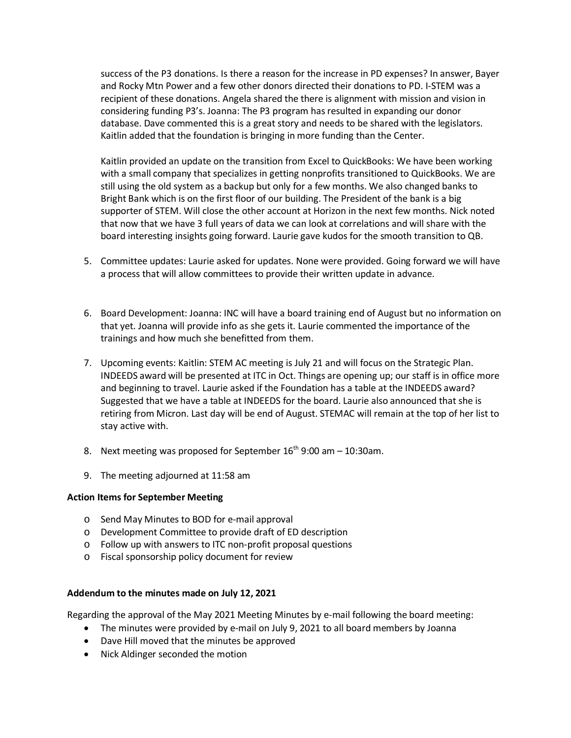success of the P3 donations. Is there a reason for the increase in PD expenses? In answer, Bayer and Rocky Mtn Power and a few other donors directed their donations to PD. I-STEM was a recipient of these donations. Angela shared the there is alignment with mission and vision in considering funding P3's. Joanna: The P3 program has resulted in expanding our donor database. Dave commented this is a great story and needs to be shared with the legislators. Kaitlin added that the foundation is bringing in more funding than the Center.

Kaitlin provided an update on the transition from Excel to QuickBooks: We have been working with a small company that specializes in getting nonprofits transitioned to QuickBooks. We are still using the old system as a backup but only for a few months. We also changed banks to Bright Bank which is on the first floor of our building. The President of the bank is a big supporter of STEM. Will close the other account at Horizon in the next few months. Nick noted that now that we have 3 full years of data we can look at correlations and will share with the board interesting insights going forward. Laurie gave kudos for the smooth transition to QB.

- 5. Committee updates: Laurie asked for updates. None were provided. Going forward we will have a process that will allow committees to provide their written update in advance.
- 6. Board Development: Joanna: INC will have a board training end of August but no information on that yet. Joanna will provide info as she gets it. Laurie commented the importance of the trainings and how much she benefitted from them.
- 7. Upcoming events: Kaitlin: STEM AC meeting is July 21 and will focus on the Strategic Plan. INDEEDS award will be presented at ITC in Oct. Things are opening up; our staff is in office more and beginning to travel. Laurie asked if the Foundation has a table at the INDEEDS award? Suggested that we have a table at INDEEDS for the board. Laurie also announced that she is retiring from Micron. Last day will be end of August. STEMAC will remain at the top of her list to stay active with.
- 8. Next meeting was proposed for September  $16<sup>th</sup>$  9:00 am 10:30am.
- 9. The meeting adjourned at 11:58 am

### **Action Items for September Meeting**

- o Send May Minutes to BOD for e-mail approval
- o Development Committee to provide draft of ED description
- o Follow up with answers to ITC non-profit proposal questions
- o Fiscal sponsorship policy document for review

### **Addendum to the minutes made on July 12, 2021**

Regarding the approval of the May 2021 Meeting Minutes by e-mail following the board meeting:

- The minutes were provided by e-mail on July 9, 2021 to all board members by Joanna
- Dave Hill moved that the minutes be approved
- Nick Aldinger seconded the motion